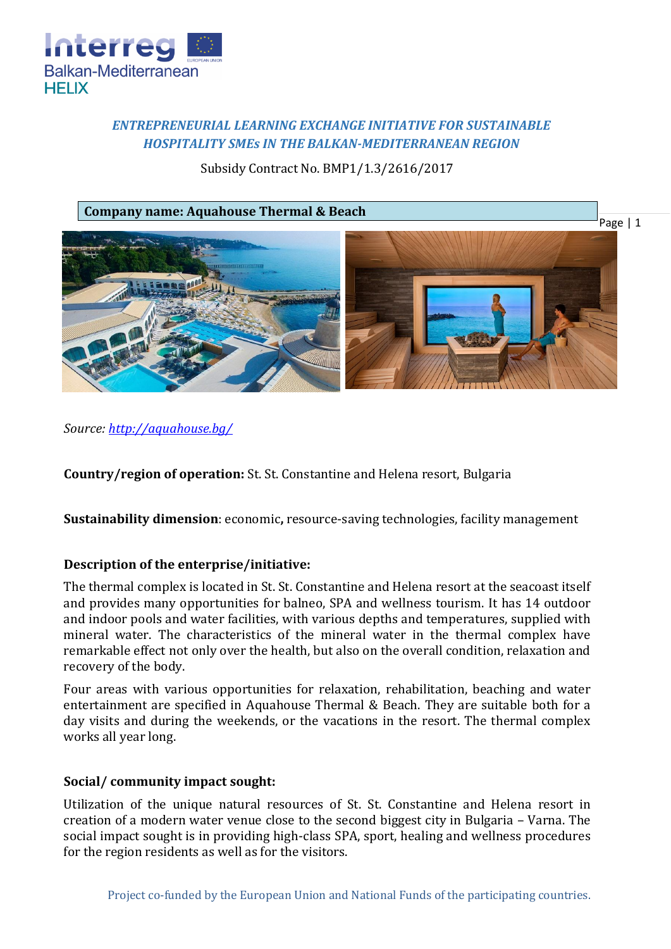

# *ENTREPRENEURIAL LEARNING EXCHANGE INITIATIVE FOR SUSTAINABLE HOSPITALITY SMEs IN THE BALKAN-MEDITERRANEAN REGION*

Subsidy Contract No. BMP1/1.3/2616/2017





*Source:<http://aquahouse.bg/>*

**Country/region of operation:** St. St. Constantine and Helena resort, Bulgaria

**Sustainability dimension**: economic**,** resource-saving technologies, facility management

## **Description of the enterprise/initiative:**

The thermal complex is located in St. St. Constantine and Helena resort at the seacoast itself and provides many opportunities for balneo, SPA and wellness tourism. It has 14 outdoor and indoor pools and water facilities, with various depths and temperatures, supplied with mineral water. The characteristics of the mineral water in the thermal complex have remarkable effect not only over the health, but also on the overall condition, relaxation and recovery of the body.

Four areas with various opportunities for relaxation, rehabilitation, beaching and water entertainment are specified in Aquahouse Thermal & Beach. They are suitable both for a day visits and during the weekends, or the vacations in the resort. The thermal complex works all year long.

#### **Social/ community impact sought:**

Utilization of the unique natural resources of St. St. Constantine and Helena resort in creation of a modern water venue close to the second biggest city in Bulgaria – Varna. The social impact sought is in providing high-class SPA, sport, healing and wellness procedures for the region residents as well as for the visitors.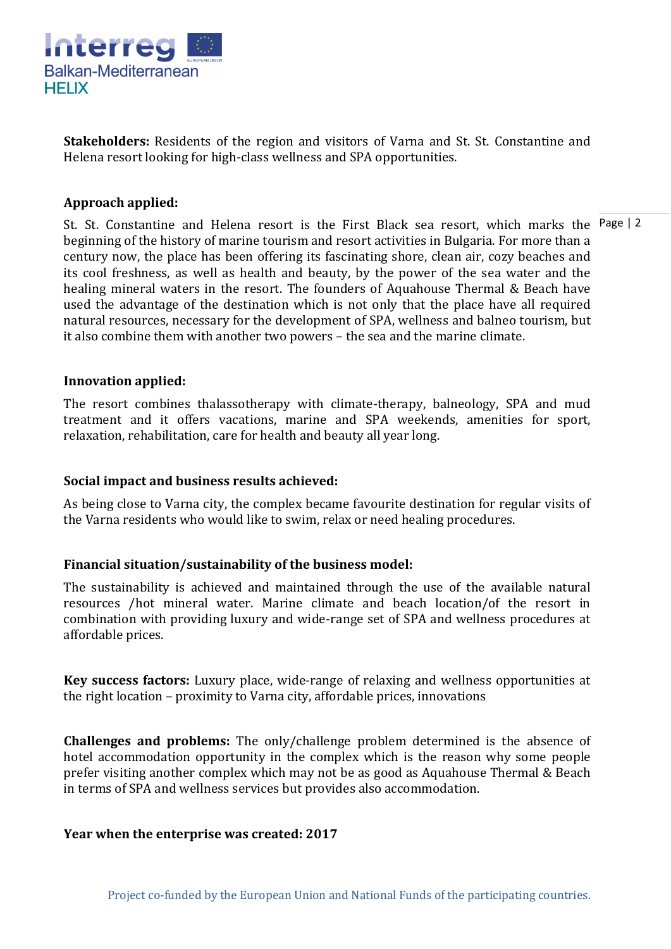

**Stakeholders:** Residents of the region and visitors of Varna and St. St. Constantine and Helena resort looking for high-class wellness and SPA opportunities.

## **Approach applied:**

St. St. Constantine and Helena resort is the First Black sea resort, which marks the Page | 2 beginning of the history of marine tourism and resort activities in Bulgaria. For more than a century now, the place has been offering its fascinating shore, clean air, cozy beaches and its cool freshness, as well as health and beauty, by the power of the sea water and the healing mineral waters in the resort. The founders of Aquahouse Thermal & Beach have used the advantage of the destination which is not only that the place have all required natural resources, necessary for the development of SPA, wellness and balneo tourism, but it also combine them with another two powers – the sea and the marine climate.

#### **Innovation applied:**

The resort combines thalassotherapy with climate-therapy, balneology, SPA and mud treatment and it offers vacations, marine and SPA weekends, amenities for sport, relaxation, rehabilitation, care for health and beauty all year long.

### **Social impact and business results achieved:**

As being close to Varna city, the complex became favourite destination for regular visits of the Varna residents who would like to swim, relax or need healing procedures.

### **Financial situation/sustainability of the business model:**

The sustainability is achieved and maintained through the use of the available natural resources /hot mineral water. Marine climate and beach location/of the resort in combination with providing luxury and wide-range set of SPA and wellness procedures at affordable prices.

**Key success factors:** Luxury place, wide-range of relaxing and wellness opportunities at the right location – proximity to Varna city, affordable prices, innovations

**Challenges and problems:** The only/challenge problem determined is the absence of hotel accommodation opportunity in the complex which is the reason why some people prefer visiting another complex which may not be as good as Aquahouse Thermal & Beach in terms of SPA and wellness services but provides also accommodation.

#### **Year when the enterprise was created: 2017**